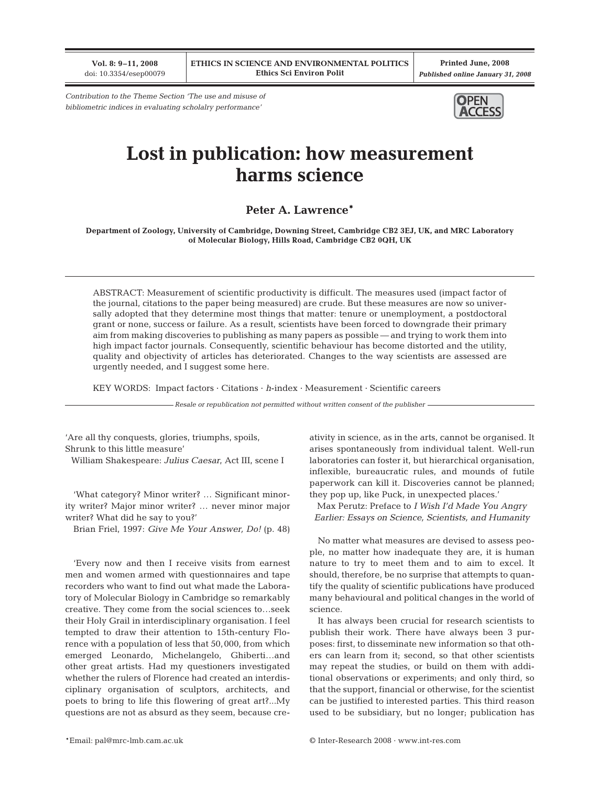**Vol. 8: 9–11, 2008** doi: 10.3354/esep00079

**Printed June, 2008** *Published online January 31, 2008*

*Contribution to the Theme Section 'The use and misuse of bibliometric indices in evaluating scholalry performance'*



## **Lost in publication: how measurement harms science**

## **Peter A. Lawrence\***

**Department of Zoology, University of Cambridge, Downing Street, Cambridge CB2 3EJ, UK, and MRC Laboratory of Molecular Biology, Hills Road, Cambridge CB2 0QH, UK**

ABSTRACT: Measurement of scientific productivity is difficult. The measures used (impact factor of the journal, citations to the paper being measured) are crude. But these measures are now so universally adopted that they determine most things that matter: tenure or unemployment, a postdoctoral grant or none, success or failure. As a result, scientists have been forced to downgrade their primary aim from making discoveries to publishing as many papers as possible — and trying to work them into high impact factor journals. Consequently, scientific behaviour has become distorted and the utility, quality and objectivity of articles has deteriorated. Changes to the way scientists are assessed are urgently needed, and I suggest some here.

KEY WORDS: Impact factors · Citations · *h*-index · Measurement · Scientific careers

*Resale or republication not permitted without written consent of the publisher*

'Are all thy conquests, glories, triumphs, spoils, Shrunk to this little measure' William Shakespeare: *Julius Caesar*, Act III, scene I

'What category? Minor writer? … Significant minority writer? Major minor writer? … never minor major writer? What did he say to you?'

Brian Friel, 1997: *Give Me Your Answer, Do!* (p. 48)

'Every now and then I receive visits from earnest men and women armed with questionnaires and tape recorders who want to find out what made the Laboratory of Molecular Biology in Cambridge so remarkably creative. They come from the social sciences to…seek their Holy Grail in interdisciplinary organisation. I feel tempted to draw their attention to 15th-century Florence with a population of less that 50,000, from which emerged Leonardo, Michelangelo, Ghiberti…and other great artists. Had my questioners investigated whether the rulers of Florence had created an interdisciplinary organisation of sculptors, architects, and poets to bring to life this flowering of great art?...My questions are not as absurd as they seem, because creativity in science, as in the arts, cannot be organised. It arises spontaneously from individual talent. Well-run laboratories can foster it, but hierarchical organisation, inflexible, bureaucratic rules, and mounds of futile paperwork can kill it. Discoveries cannot be planned; they pop up, like Puck, in unexpected places.'

Max Perutz: Preface to *I Wish I'd Made You Angry Earlier: Essays on Science, Scientists, and Humanity*

No matter what measures are devised to assess people, no matter how inadequate they are, it is human nature to try to meet them and to aim to excel. It should, therefore, be no surprise that attempts to quantify the quality of scientific publications have produced many behavioural and political changes in the world of science.

It has always been crucial for research scientists to publish their work. There have always been 3 purposes: first, to disseminate new information so that others can learn from it; second, so that other scientists may repeat the studies, or build on them with additional observations or experiments; and only third, so that the support, financial or otherwise, for the scientist can be justified to interested parties. This third reason used to be subsidiary, but no longer; publication has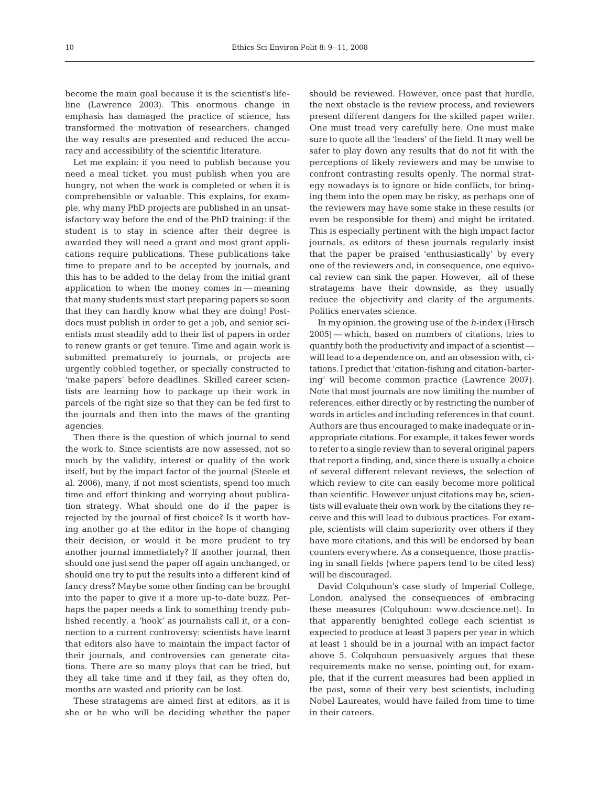become the main goal because it is the scientist's lifeline (Lawrence 2003). This enormous change in emphasis has damaged the practice of science, has transformed the motivation of researchers, changed the way results are presented and reduced the accuracy and accessibility of the scientific literature.

Let me explain: if you need to publish because you need a meal ticket, you must publish when you are hungry, not when the work is completed or when it is comprehensible or valuable. This explains, for example, why many PhD projects are published in an unsatisfactory way before the end of the PhD training: if the student is to stay in science after their degree is awarded they will need a grant and most grant applications require publications. These publications take time to prepare and to be accepted by journals, and this has to be added to the delay from the initial grant application to when the money comes in — meaning that many students must start preparing papers so soon that they can hardly know what they are doing! Postdocs must publish in order to get a job, and senior scientists must steadily add to their list of papers in order to renew grants or get tenure. Time and again work is submitted prematurely to journals, or projects are urgently cobbled together, or specially constructed to 'make papers' before deadlines. Skilled career scientists are learning how to package up their work in parcels of the right size so that they can be fed first to the journals and then into the maws of the granting agencies.

Then there is the question of which journal to send the work to. Since scientists are now assessed, not so much by the validity, interest or quality of the work itself, but by the impact factor of the journal (Steele et al. 2006), many, if not most scientists, spend too much time and effort thinking and worrying about publication strategy. What should one do if the paper is rejected by the journal of first choice? Is it worth having another go at the editor in the hope of changing their decision, or would it be more prudent to try another journal immediately? If another journal, then should one just send the paper off again unchanged, or should one try to put the results into a different kind of fancy dress? Maybe some other finding can be brought into the paper to give it a more up-to-date buzz. Perhaps the paper needs a link to something trendy published recently, a 'hook' as journalists call it, or a connection to a current controversy: scientists have learnt that editors also have to maintain the impact factor of their journals, and controversies can generate citations. There are so many ploys that can be tried, but they all take time and if they fail, as they often do, months are wasted and priority can be lost.

These stratagems are aimed first at editors, as it is she or he who will be deciding whether the paper should be reviewed. However, once past that hurdle, the next obstacle is the review process, and reviewers present different dangers for the skilled paper writer. One must tread very carefully here. One must make sure to quote all the 'leaders' of the field. It may well be safer to play down any results that do not fit with the perceptions of likely reviewers and may be unwise to confront contrasting results openly. The normal strategy nowadays is to ignore or hide conflicts, for bringing them into the open may be risky, as perhaps one of the reviewers may have some stake in these results (or even be responsible for them) and might be irritated. This is especially pertinent with the high impact factor journals, as editors of these journals regularly insist that the paper be praised 'enthusiastically' by every one of the reviewers and, in consequence, one equivocal review can sink the paper. However, all of these stratagems have their downside, as they usually reduce the objectivity and clarity of the arguments. Politics enervates science.

In my opinion, the growing use of the *h*-index (Hirsch 2005) — which, based on numbers of citations, tries to quantify both the productivity and impact of a scientist will lead to a dependence on, and an obsession with, citations. I predict that 'citation-fishing and citation-bartering' will become common practice (Lawrence 2007). Note that most journals are now limiting the number of references, either directly or by restricting the number of words in articles and including references in that count. Authors are thus encouraged to make inadequate or inappropriate citations. For example, it takes fewer words to refer to a single review than to several original papers that report a finding, and, since there is usually a choice of several different relevant reviews, the selection of which review to cite can easily become more political than scientific. However unjust citations may be, scientists will evaluate their own work by the citations they receive and this will lead to dubious practices. For example, scientists will claim superiority over others if they have more citations, and this will be endorsed by bean counters everywhere. As a consequence, those practising in small fields (where papers tend to be cited less) will be discouraged.

David Colquhoun's case study of Imperial College, London, analysed the consequences of embracing these measures (Colquhoun: www.dcscience.net). In that apparently benighted college each scientist is expected to produce at least 3 papers per year in which at least 1 should be in a journal with an impact factor above 5. Colquhoun persuasively argues that these requirements make no sense, pointing out, for example, that if the current measures had been applied in the past, some of their very best scientists, including Nobel Laureates, would have failed from time to time in their careers.